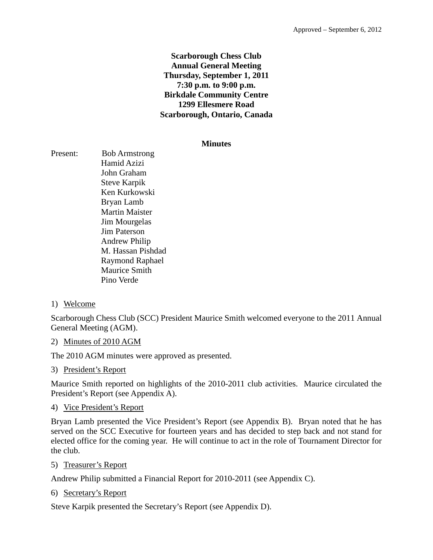# **Scarborough Chess Club Annual General Meeting Thursday, September 1, 2011 7:30 p.m. to 9:00 p.m. Birkdale Community Centre 1299 Ellesmere Road Scarborough, Ontario, Canada**

#### **Minutes**

Present: Bob Armstrong Hamid Azizi John Graham Steve Karpik Ken Kurkowski Bryan Lamb Martin Maister Jim Mourgelas Jim Paterson Andrew Philip M. Hassan Pishdad Raymond Raphael Maurice Smith Pino Verde

# 1) Welcome

Scarborough Chess Club (SCC) President Maurice Smith welcomed everyone to the 2011 Annual General Meeting (AGM).

## 2) Minutes of 2010 AGM

The 2010 AGM minutes were approved as presented.

#### 3) President's Report

Maurice Smith reported on highlights of the 2010-2011 club activities. Maurice circulated the President's Report (see Appendix A).

#### 4) Vice President's Report

Bryan Lamb presented the Vice President's Report (see Appendix B). Bryan noted that he has served on the SCC Executive for fourteen years and has decided to step back and not stand for elected office for the coming year. He will continue to act in the role of Tournament Director for the club.

5) Treasurer's Report

Andrew Philip submitted a Financial Report for 2010-2011 (see Appendix C).

6) Secretary's Report

Steve Karpik presented the Secretary's Report (see Appendix D).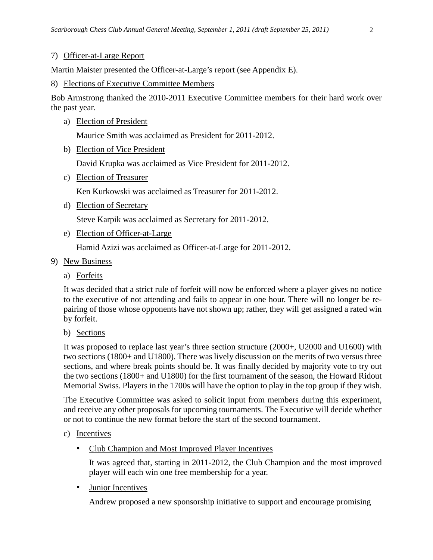#### 7) Officer-at-Large Report

Martin Maister presented the Officer-at-Large's report (see Appendix E).

#### 8) Elections of Executive Committee Members

Bob Armstrong thanked the 2010-2011 Executive Committee members for their hard work over the past year.

a) Election of President

Maurice Smith was acclaimed as President for 2011-2012.

b) Election of Vice President

David Krupka was acclaimed as Vice President for 2011-2012.

c) Election of Treasurer

Ken Kurkowski was acclaimed as Treasurer for 2011-2012.

d) Election of Secretary

Steve Karpik was acclaimed as Secretary for 2011-2012.

e) Election of Officer-at-Large

Hamid Azizi was acclaimed as Officer-at-Large for 2011-2012.

- 9) New Business
	- a) Forfeits

It was decided that a strict rule of forfeit will now be enforced where a player gives no notice to the executive of not attending and fails to appear in one hour. There will no longer be repairing of those whose opponents have not shown up; rather, they will get assigned a rated win by forfeit.

b) Sections

It was proposed to replace last year's three section structure (2000+, U2000 and U1600) with two sections (1800+ and U1800). There was lively discussion on the merits of two versus three sections, and where break points should be. It was finally decided by majority vote to try out the two sections (1800+ and U1800) for the first tournament of the season, the Howard Ridout Memorial Swiss. Players in the 1700s will have the option to play in the top group if they wish.

The Executive Committee was asked to solicit input from members during this experiment, and receive any other proposals for upcoming tournaments. The Executive will decide whether or not to continue the new format before the start of the second tournament.

- c) Incentives
	- Club Champion and Most Improved Player Incentives

It was agreed that, starting in 2011-2012, the Club Champion and the most improved player will each win one free membership for a year.

• Junior Incentives

Andrew proposed a new sponsorship initiative to support and encourage promising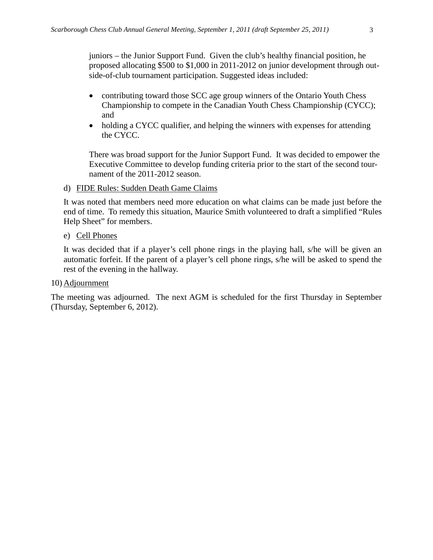juniors – the Junior Support Fund. Given the club's healthy financial position, he proposed allocating \$500 to \$1,000 in 2011-2012 on junior development through outside-of-club tournament participation. Suggested ideas included:

- contributing toward those SCC age group winners of the Ontario Youth Chess Championship to compete in the Canadian Youth Chess Championship (CYCC); and
- holding a CYCC qualifier, and helping the winners with expenses for attending the CYCC.

There was broad support for the Junior Support Fund. It was decided to empower the Executive Committee to develop funding criteria prior to the start of the second tournament of the 2011-2012 season.

d) FIDE Rules: Sudden Death Game Claims

It was noted that members need more education on what claims can be made just before the end of time. To remedy this situation, Maurice Smith volunteered to draft a simplified "Rules Help Sheet" for members.

e) Cell Phones

It was decided that if a player's cell phone rings in the playing hall, s/he will be given an automatic forfeit. If the parent of a player's cell phone rings, s/he will be asked to spend the rest of the evening in the hallway.

10) Adjournment

The meeting was adjourned. The next AGM is scheduled for the first Thursday in September (Thursday, September 6, 2012).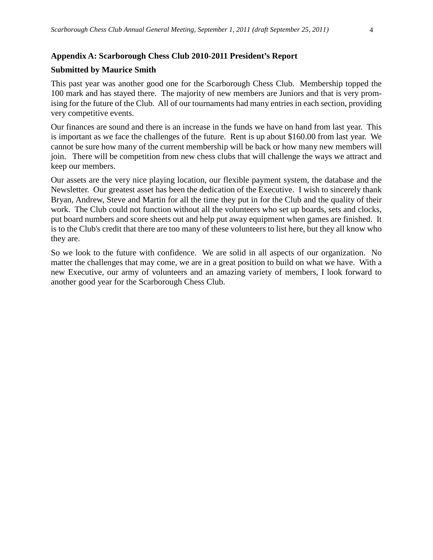# **Appendix A: Scarborough Chess Club 2010-2011 President's Report**

#### **Submitted by Maurice Smith**

This past year was another good one for the Scarborough Chess Club. Membership topped the 100 mark and has stayed there. The majority of new members are Juniors and that is very promising for the future of the Club. All of our tournaments had many entries in each section, providing very competitive events.

Our finances are sound and there is an increase in the funds we have on hand from last year. This is important as we face the challenges of the future. Rent is up about \$160.00 from last year. We cannot be sure how many of the current membership will be back or how many new members will join. There will be competition from new chess clubs that will challenge the ways we attract and keep our members.

Our assets are the very nice playing location, our flexible payment system, the database and the Newsletter. Our greatest asset has been the dedication of the Executive. I wish to sincerely thank Bryan, Andrew, Steve and Martin for all the time they put in for the Club and the quality of their work. The Club could not function without all the volunteers who set up boards, sets and clocks, put board numbers and score sheets out and help put away equipment when games are finished. It is to the Club's credit that there are too many of these volunteers to list here, but they all know who they are.

So we look to the future with confidence. We are solid in all aspects of our organization. No matter the challenges that may come, we are in a great position to build on what we have. With a new Executive, our army of volunteers and an amazing variety of members, I look forward to another good year for the Scarborough Chess Club.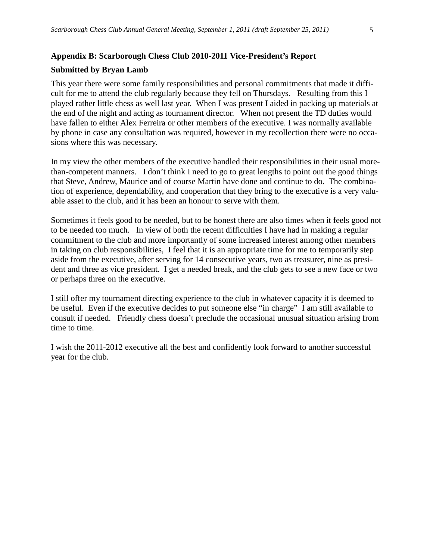# **Appendix B: Scarborough Chess Club 2010-2011 Vice-President's Report**

#### **Submitted by Bryan Lamb**

This year there were some family responsibilities and personal commitments that made it difficult for me to attend the club regularly because they fell on Thursdays. Resulting from this I played rather little chess as well last year. When I was present I aided in packing up materials at the end of the night and acting as tournament director. When not present the TD duties would have fallen to either Alex Ferreira or other members of the executive. I was normally available by phone in case any consultation was required, however in my recollection there were no occasions where this was necessary.

In my view the other members of the executive handled their responsibilities in their usual morethan-competent manners. I don't think I need to go to great lengths to point out the good things that Steve, Andrew, Maurice and of course Martin have done and continue to do. The combination of experience, dependability, and cooperation that they bring to the executive is a very valuable asset to the club, and it has been an honour to serve with them.

Sometimes it feels good to be needed, but to be honest there are also times when it feels good not to be needed too much. In view of both the recent difficulties I have had in making a regular commitment to the club and more importantly of some increased interest among other members in taking on club responsibilities, I feel that it is an appropriate time for me to temporarily step aside from the executive, after serving for 14 consecutive years, two as treasurer, nine as president and three as vice president. I get a needed break, and the club gets to see a new face or two or perhaps three on the executive.

I still offer my tournament directing experience to the club in whatever capacity it is deemed to be useful. Even if the executive decides to put someone else "in charge" I am still available to consult if needed. Friendly chess doesn't preclude the occasional unusual situation arising from time to time.

I wish the 2011-2012 executive all the best and confidently look forward to another successful year for the club.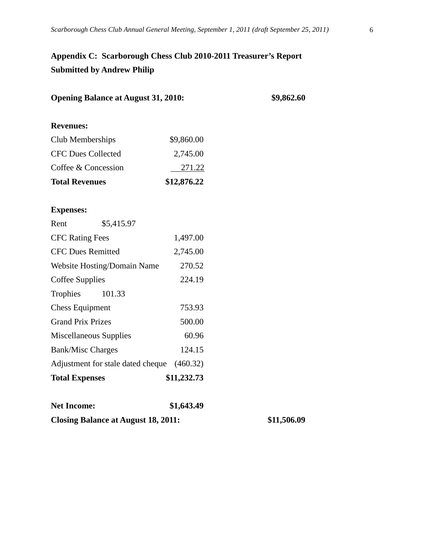# **Appendix C: Scarborough Chess Club 2010-2011 Treasurer's Report Submitted by Andrew Philip**

| <b>Opening Balance at August 31, 2010:</b> |             | \$9,862.60  |
|--------------------------------------------|-------------|-------------|
| <b>Revenues:</b>                           |             |             |
|                                            |             |             |
| Club Memberships                           | \$9,860.00  |             |
| <b>CFC Dues Collected</b>                  | 2,745.00    |             |
| Coffee & Concession                        | 271.22      |             |
| <b>Total Revenues</b>                      | \$12,876.22 |             |
| <b>Expenses:</b>                           |             |             |
| Rent<br>\$5,415.97                         |             |             |
| <b>CFC Rating Fees</b>                     | 1,497.00    |             |
| <b>CFC Dues Remitted</b>                   | 2,745.00    |             |
| Website Hosting/Domain Name                | 270.52      |             |
| Coffee Supplies                            | 224.19      |             |
| Trophies<br>101.33                         |             |             |
| <b>Chess Equipment</b>                     | 753.93      |             |
| <b>Grand Prix Prizes</b>                   | 500.00      |             |
| Miscellaneous Supplies                     | 60.96       |             |
| <b>Bank/Misc Charges</b>                   | 124.15      |             |
| Adjustment for stale dated cheque          | (460.32)    |             |
| <b>Total Expenses</b>                      | \$11,232.73 |             |
| <b>Net Income:</b>                         | \$1,643.49  |             |
| <b>Closing Balance at August 18, 2011:</b> |             | \$11,506.09 |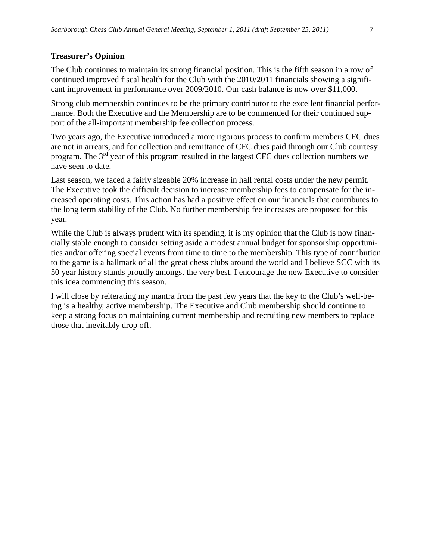#### **Treasurer's Opinion**

The Club continues to maintain its strong financial position. This is the fifth season in a row of continued improved fiscal health for the Club with the 2010/2011 financials showing a significant improvement in performance over 2009/2010. Our cash balance is now over \$11,000.

Strong club membership continues to be the primary contributor to the excellent financial performance. Both the Executive and the Membership are to be commended for their continued support of the all-important membership fee collection process.

Two years ago, the Executive introduced a more rigorous process to confirm members CFC dues are not in arrears, and for collection and remittance of CFC dues paid through our Club courtesy program. The 3rd year of this program resulted in the largest CFC dues collection numbers we have seen to date.

Last season, we faced a fairly sizeable 20% increase in hall rental costs under the new permit. The Executive took the difficult decision to increase membership fees to compensate for the increased operating costs. This action has had a positive effect on our financials that contributes to the long term stability of the Club. No further membership fee increases are proposed for this year.

While the Club is always prudent with its spending, it is my opinion that the Club is now financially stable enough to consider setting aside a modest annual budget for sponsorship opportunities and/or offering special events from time to time to the membership. This type of contribution to the game is a hallmark of all the great chess clubs around the world and I believe SCC with its 50 year history stands proudly amongst the very best. I encourage the new Executive to consider this idea commencing this season.

I will close by reiterating my mantra from the past few years that the key to the Club's well-being is a healthy, active membership. The Executive and Club membership should continue to keep a strong focus on maintaining current membership and recruiting new members to replace those that inevitably drop off.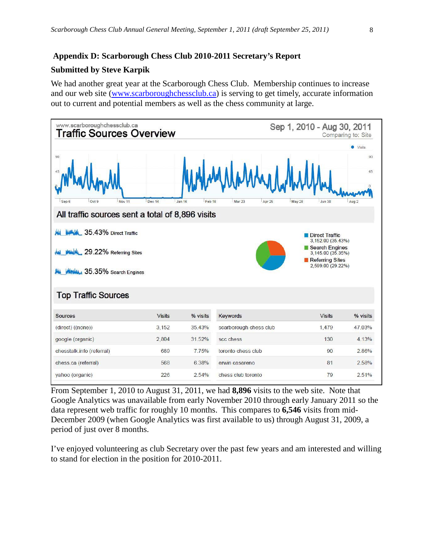## **Appendix D: Scarborough Chess Club 2010-2011 Secretary's Report**

#### **Submitted by Steve Karpik**

We had another great year at the Scarborough Chess Club. Membership continues to increase and our web site [\(www.scarboroughchessclub.ca\)](http://www.scarboroughchessclub.ca/) is serving to get timely, accurate information out to current and potential members as well as the chess community at large.



From September 1, 2010 to August 31, 2011, we had **8,896** visits to the web site. Note that Google Analytics was unavailable from early November 2010 through early January 2011 so the data represent web traffic for roughly 10 months. This compares to **6,546** visits from mid-December 2009 (when Google Analytics was first available to us) through August 31, 2009, a period of just over 8 months.

I've enjoyed volunteering as club Secretary over the past few years and am interested and willing to stand for election in the position for 2010-2011.